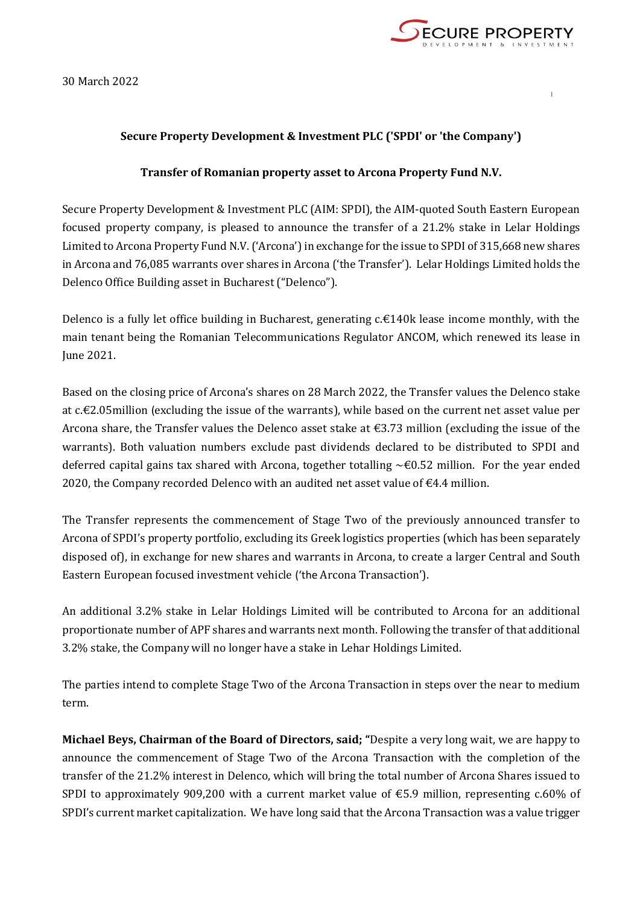

30 March 2022

## **Secure Property Development & Investment PLC ('SPDI' or 'the Company')**

## **Transfer of Romanian property asset to Arcona Property Fund N.V.**

Secure Property Development & Investment PLC (AIM: SPDI), the AIM-quoted South Eastern European focused property company, is pleased to announce the transfer of a 21.2% stake in Lelar Holdings Limited to Arcona Property Fund N.V. ('Arcona') in exchange for the issue to SPDI of 315,668 new shares in Arcona and 76,085 warrants over shares in Arcona ('the Transfer'). Lelar Holdings Limited holds the Delenco Office Building asset in Bucharest ("Delenco").

Delenco is a fully let office building in Bucharest, generating c.€140k lease income monthly, with the main tenant being the Romanian Telecommunications Regulator ANCOM, which renewed its lease in June 2021.

Based on the closing price of Arcona's shares on 28 March 2022, the Transfer values the Delenco stake at c.€2.05million (excluding the issue of the warrants), while based on the current net asset value per Arcona share, the Transfer values the Delenco asset stake at €3.73 million (excluding the issue of the warrants). Both valuation numbers exclude past dividends declared to be distributed to SPDI and deferred capital gains tax shared with Arcona, together totalling  $\sim \epsilon 0.52$  million. For the year ended 2020, the Company recorded Delenco with an audited net asset value of  $\epsilon$ 4.4 million.

The Transfer represents the commencement of Stage Two of the previously announced transfer to Arcona of SPDI's property portfolio, excluding its Greek logistics properties (which has been separately disposed of), in exchange for new shares and warrants in Arcona, to create a larger Central and South Eastern European focused investment vehicle ('the Arcona Transaction').

An additional 3.2% stake in Lelar Holdings Limited will be contributed to Arcona for an additional proportionate number of APF shares and warrants next month. Following the transfer of that additional 3.2% stake, the Company will no longer have a stake in Lehar Holdings Limited.

The parties intend to complete Stage Two of the Arcona Transaction in steps over the near to medium term.

**Michael Beys, Chairman of the Board of Directors, said; "**Despite a very long wait, we are happy to announce the commencement of Stage Two of the Arcona Transaction with the completion of the transfer of the 21.2% interest in Delenco, which will bring the total number of Arcona Shares issued to SPDI to approximately 909,200 with a current market value of  $\epsilon$ 5.9 million, representing c.60% of SPDI's current market capitalization. We have long said that the Arcona Transaction was a value trigger